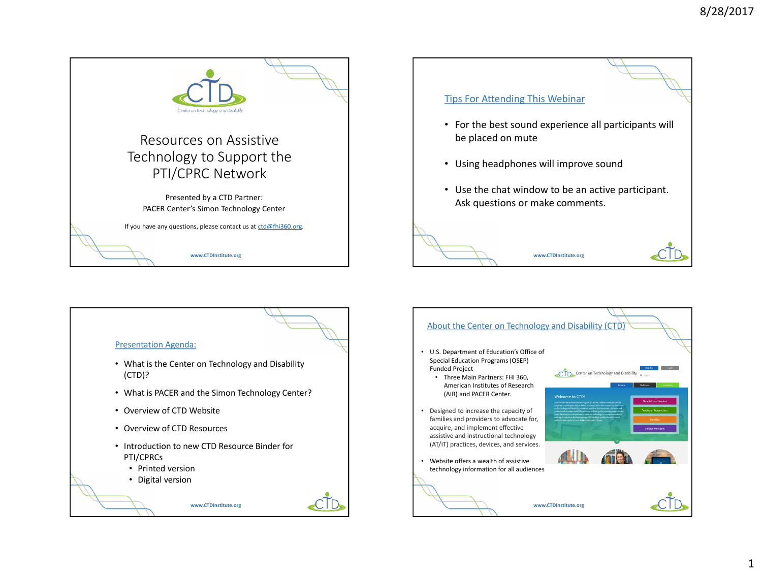

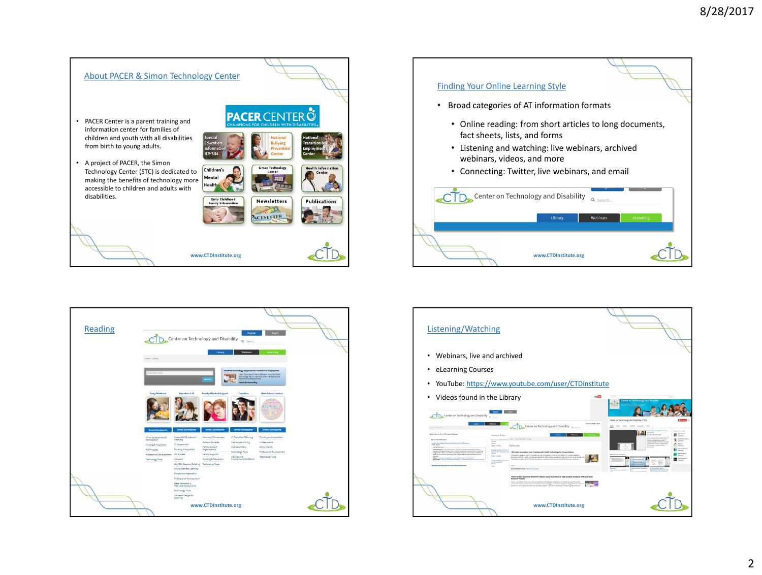





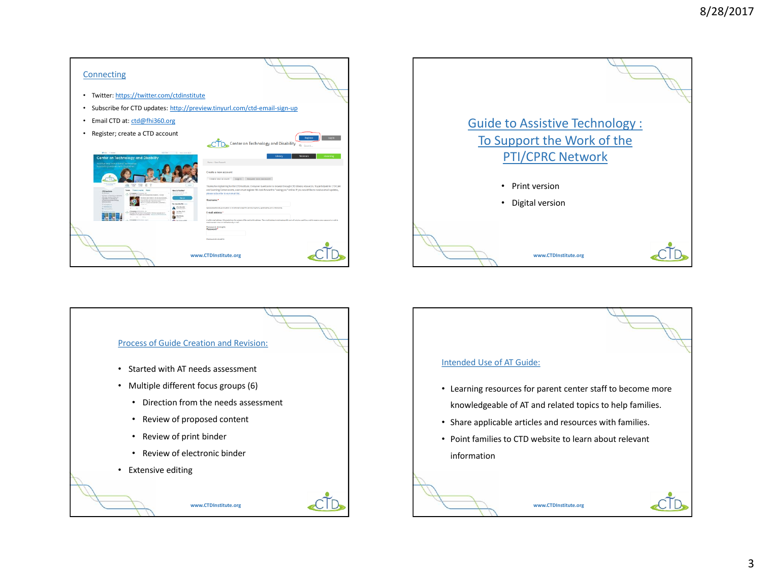| Connecting                                                                                                                                                                                                                                                                                                                                                                                                                                                                                                                                                                                                          |                                                                                                                                                                                                                                                                                                                                                                                                                                                                                                                                                                                                                                                                                                                                                                                                                                                                                                        |
|---------------------------------------------------------------------------------------------------------------------------------------------------------------------------------------------------------------------------------------------------------------------------------------------------------------------------------------------------------------------------------------------------------------------------------------------------------------------------------------------------------------------------------------------------------------------------------------------------------------------|--------------------------------------------------------------------------------------------------------------------------------------------------------------------------------------------------------------------------------------------------------------------------------------------------------------------------------------------------------------------------------------------------------------------------------------------------------------------------------------------------------------------------------------------------------------------------------------------------------------------------------------------------------------------------------------------------------------------------------------------------------------------------------------------------------------------------------------------------------------------------------------------------------|
| Twitter: https://twitter.com/ctdinstitute<br>٠                                                                                                                                                                                                                                                                                                                                                                                                                                                                                                                                                                      |                                                                                                                                                                                                                                                                                                                                                                                                                                                                                                                                                                                                                                                                                                                                                                                                                                                                                                        |
| Subscribe for CTD updates: http://preview.tinyurl.com/ctd-email-sign-up<br>٠                                                                                                                                                                                                                                                                                                                                                                                                                                                                                                                                        |                                                                                                                                                                                                                                                                                                                                                                                                                                                                                                                                                                                                                                                                                                                                                                                                                                                                                                        |
| Email CTD at: ctd@fhi360.org<br>٠                                                                                                                                                                                                                                                                                                                                                                                                                                                                                                                                                                                   |                                                                                                                                                                                                                                                                                                                                                                                                                                                                                                                                                                                                                                                                                                                                                                                                                                                                                                        |
| Register; create a CTD account<br>٠                                                                                                                                                                                                                                                                                                                                                                                                                                                                                                                                                                                 | Log in<br><b>Register</b><br>Center on Technology and Disability<br>à<br>Search.                                                                                                                                                                                                                                                                                                                                                                                                                                                                                                                                                                                                                                                                                                                                                                                                                       |
| When the con-<br>method in the measurement<br><b>Center on Technology and Disability</b><br>Aciative and instructional Techn<br>Sipporting Literation<br>Teleb Empire Bady<br>New Schwitter!<br>CFO Institute<br>the form of their instrumer with the or<br>to alle Safer manmatore e è assono a regioni.<br>Anticha solvei costi dotta l'Alle Scholato.<br><b>CALL AND</b><br><b>Lines who the</b><br><b>Rosselling at Minimizer pro</b><br>Notably fair for their divinancy little interference and restricts in the<br>on Farm, No. 5.<br><b><i>Information for the complete that makes</i></b><br>15<br>$-10.7$ | eteaming<br>Library<br>Weblinam<br>Home + User Account<br>Create a new account<br>Create new account Log in Request new password<br>Thanks for registering for the CTD Institute. Everyone is welcome to browse through CTD Library resources. To participate in CTD Cafe<br>and Learning Center events, users must register. We look forward to "seeing you" online! If you would like to receive email updates.<br>please subscribe to our email list.<br>Unername*<br>ferom are allowed, punctuation is not allowed enough for particle, hyphens, apentrophes, and underscore<br>E-mail address*<br>A cabil a real address All a multi from the uniters will be until to this address. The a multiplication to not made subtly and will only be used it counters a new assumed to etablist<br>modula radials nava or natifications by a stall<br>Password strength:<br>Password*<br>Passwordsmatch: |
| www.CTDInstitute.org                                                                                                                                                                                                                                                                                                                                                                                                                                                                                                                                                                                                |                                                                                                                                                                                                                                                                                                                                                                                                                                                                                                                                                                                                                                                                                                                                                                                                                                                                                                        |





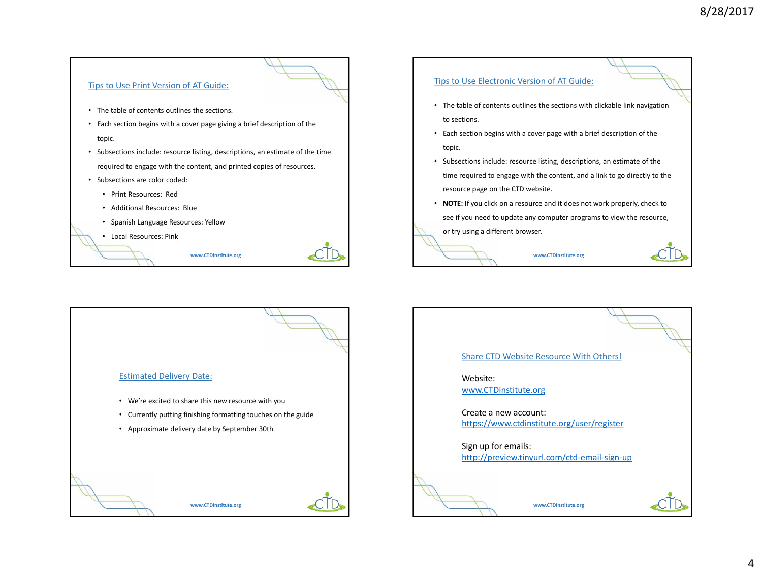